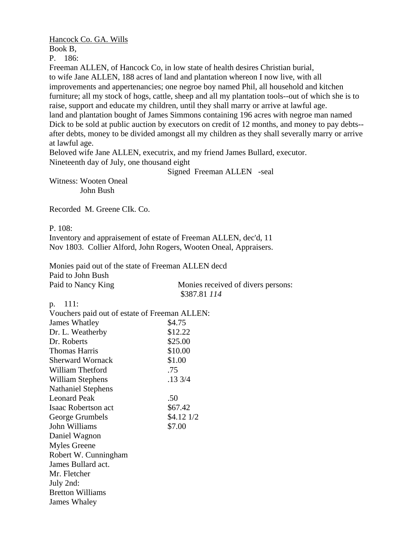Hancock Co. GA. Wills

Book B,

P. 186:

Freeman ALLEN, of Hancock Co, in low state of health desires Christian burial, to wife Jane ALLEN, 188 acres of land and plantation whereon I now live, with all improvements and appertenancies; one negroe boy named Phil, all household and kitchen furniture; all my stock of hogs, cattle, sheep and all my plantation tools--out of which she is to raise, support and educate my children, until they shall marry or arrive at lawful age. land and plantation bought of James Simmons containing 196 acres with negroe man named Dick to be sold at public auction by executors on credit of 12 months, and money to pay debts- after debts, money to be divided amongst all my children as they shall severally marry or arrive at lawful age.

Beloved wife Jane ALLEN, executrix, and my friend James Bullard, executor. Nineteenth day of July, one thousand eight

Signed Freeman ALLEN -seal

Witness: Wooten Oneal John Bush

Recorded M. Greene CIk. Co.

P. 108:

Inventory and appraisement of estate of Freeman ALLEN, dec'd, 11 Nov 1803. Collier Alford, John Rogers, Wooten Oneal, Appraisers.

Monies paid out of the state of Freeman ALLEN decd Paid to John Bush Paid to Nancy King Monies received of divers persons: \$387.81 *114* 

p. 111:

| Vouchers paid out of estate of Freeman ALLEN: |            |  |
|-----------------------------------------------|------------|--|
| James Whatley                                 | \$4.75     |  |
| Dr. L. Weatherby                              | \$12.22    |  |
| Dr. Roberts                                   | \$25.00    |  |
| <b>Thomas Harris</b>                          | \$10.00    |  |
| <b>Sherward Wornack</b>                       | \$1.00     |  |
| William Thetford                              | .75        |  |
| William Stephens                              | .13 3/4    |  |
| <b>Nathaniel Stephens</b>                     |            |  |
| <b>Leonard Peak</b>                           | .50        |  |
| Isaac Robertson act                           | \$67.42    |  |
| George Grumbels                               | \$4.12 1/2 |  |
| John Williams                                 | \$7.00     |  |
| Daniel Wagnon                                 |            |  |
| Myles Greene                                  |            |  |
| Robert W. Cunningham                          |            |  |
| James Bullard act.                            |            |  |
| Mr. Fletcher                                  |            |  |
| July 2nd:                                     |            |  |
| <b>Bretton Williams</b>                       |            |  |
| James Whaley                                  |            |  |
|                                               |            |  |